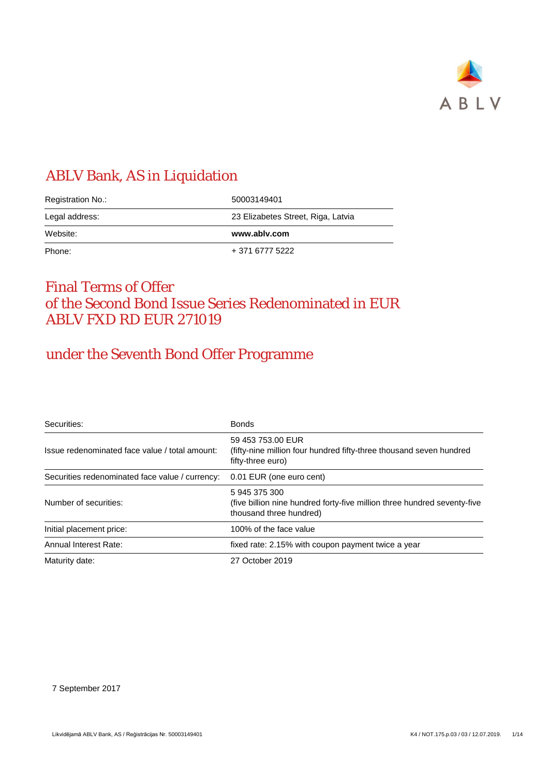

## ABLV Bank, AS in Liquidation

| Registration No.: | 50003149401                        |
|-------------------|------------------------------------|
| Legal address:    | 23 Elizabetes Street, Riga, Latvia |
| Website:          | www.ablv.com                       |
|                   |                                    |

## Final Terms of Offer of the Second Bond Issue Series Redenominated in EUR ABLV FXD RD EUR 271019

## under the Seventh Bond Offer Programme

| Securities:                                     | <b>Bonds</b>                                                                                                         |
|-------------------------------------------------|----------------------------------------------------------------------------------------------------------------------|
| Issue redenominated face value / total amount:  | 59 453 753.00 EUR<br>(fifty-nine million four hundred fifty-three thousand seven hundred<br>fifty-three euro)        |
| Securities redenominated face value / currency: | 0.01 EUR (one euro cent)                                                                                             |
| Number of securities:                           | 5 945 375 300<br>(five billion nine hundred forty-five million three hundred seventy-five<br>thousand three hundred) |
| Initial placement price:                        | 100% of the face value                                                                                               |
| Annual Interest Rate:                           | fixed rate: 2.15% with coupon payment twice a year                                                                   |
| Maturity date:                                  | 27 October 2019                                                                                                      |

7 September 2017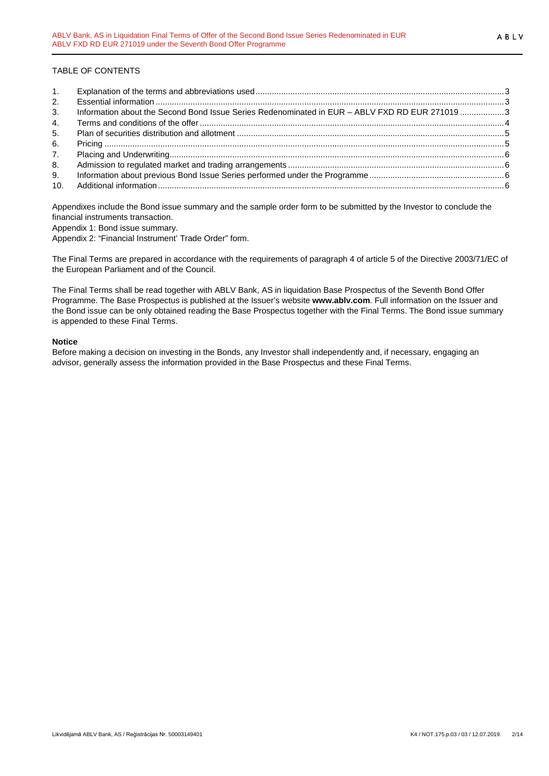### TABLE OF CONTENTS

| 1.             |                                                                                                |  |
|----------------|------------------------------------------------------------------------------------------------|--|
| 2.             |                                                                                                |  |
| 3 <sub>1</sub> | Information about the Second Bond Issue Series Redenominated in EUR - ABLV FXD RD EUR 271019 3 |  |
| 4.             |                                                                                                |  |
| 5.             |                                                                                                |  |
| 6.             |                                                                                                |  |
| 7.             |                                                                                                |  |
| 8.             |                                                                                                |  |
| 9.             |                                                                                                |  |
|                |                                                                                                |  |

Appendixes include the Bond issue summary and the sample order form to be submitted by the Investor to conclude the financial instruments transaction. Appendix 1: Bond issue summary.

Appendix 2: "Financial Instrument' Trade Order" form.

The Final Terms are prepared in accordance with the requirements of paragraph 4 of article 5 of the Directive 2003/71/EC of the European Parliament and of the Council.

The Final Terms shall be read together with ABLV Bank, AS in liquidation Base Prospectus of the Seventh Bond Offer Programme. The Base Prospectus is published at the Issuer's website **www.ablv.com**. Full information on the Issuer and the Bond issue can be only obtained reading the Base Prospectus together with the Final Terms. The Bond issue summary is appended to these Final Terms.

### **Notice**

Before making a decision on investing in the Bonds, any Investor shall independently and, if necessary, engaging an advisor, generally assess the information provided in the Base Prospectus and these Final Terms.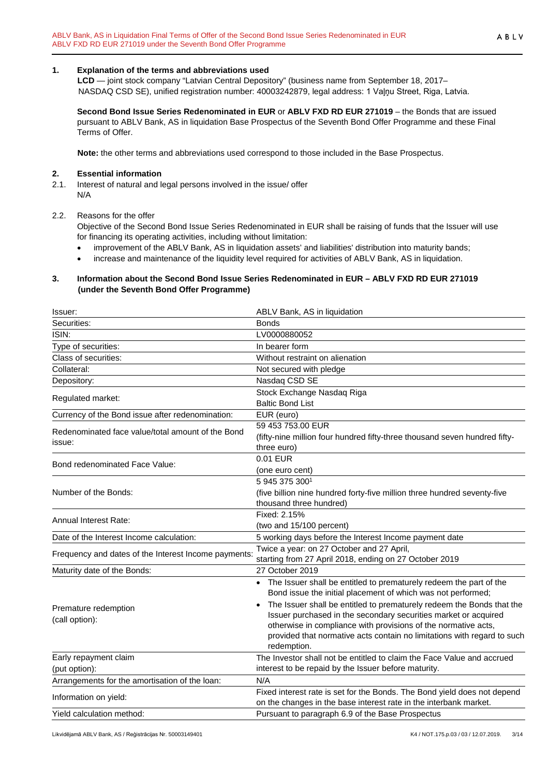### <span id="page-2-0"></span>**1. Explanation of the terms and abbreviations used**

**LCD** — joint stock company "Latvian Central Depository" (business name from September 18, 2017– NASDAQ CSD SE), unified registration number: 40003242879, legal address: 1 Vaļņu Street, Riga, Latvia.

**Second Bond Issue Series Redenominated in EUR** or **ABLV FXD RD EUR 271019** – the Bonds that are issued pursuant to ABLV Bank, AS in liquidation Base Prospectus of the Seventh Bond Offer Programme and these Final Terms of Offer.

**Note:** the other terms and abbreviations used correspond to those included in the Base Prospectus.

#### <span id="page-2-1"></span>**2. Essential information**

2.1. Interest of natural and legal persons involved in the issue/ offer N/A

### 2.2. Reasons for the offer

Objective of the Second Bond Issue Series Redenominated in EUR shall be raising of funds that the Issuer will use for financing its operating activities, including without limitation:

- improvement of the ABLV Bank, AS in liquidation assets' and liabilities' distribution into maturity bands;
- increase and maintenance of the liquidity level required for activities of ABLV Bank, AS in liquidation.

### <span id="page-2-2"></span>**3. Information about the Second Bond Issue Series Redenominated in EUR – ABLV FXD RD EUR 271019 (under the Seventh Bond Offer Programme)**

| Issuer:                                              | ABLV Bank, AS in liquidation                                               |
|------------------------------------------------------|----------------------------------------------------------------------------|
| Securities:                                          | <b>Bonds</b>                                                               |
| ISIN:                                                | LV0000880052                                                               |
| Type of securities:                                  | In bearer form                                                             |
| Class of securities:                                 | Without restraint on alienation                                            |
| Collateral:                                          | Not secured with pledge                                                    |
| Depository:                                          | Nasdaq CSD SE                                                              |
| Regulated market:                                    | Stock Exchange Nasdaq Riga                                                 |
|                                                      | <b>Baltic Bond List</b>                                                    |
| Currency of the Bond issue after redenomination:     | EUR (euro)                                                                 |
| Redenominated face value/total amount of the Bond    | 59 453 753.00 EUR                                                          |
| issue:                                               | (fifty-nine million four hundred fifty-three thousand seven hundred fifty- |
|                                                      | three euro)                                                                |
| Bond redenominated Face Value:                       | 0.01 EUR                                                                   |
|                                                      | (one euro cent)                                                            |
|                                                      | 5 945 375 3001                                                             |
| Number of the Bonds:                                 | (five billion nine hundred forty-five million three hundred seventy-five   |
|                                                      | thousand three hundred)                                                    |
| Annual Interest Rate:                                | Fixed: 2.15%                                                               |
|                                                      | (two and 15/100 percent)                                                   |
| Date of the Interest Income calculation:             | 5 working days before the Interest Income payment date                     |
| Frequency and dates of the Interest Income payments: | Twice a year: on 27 October and 27 April,                                  |
|                                                      | starting from 27 April 2018, ending on 27 October 2019                     |
| Maturity date of the Bonds:                          | 27 October 2019                                                            |
|                                                      | The Issuer shall be entitled to prematurely redeem the part of the         |
|                                                      | Bond issue the initial placement of which was not performed;               |
| Premature redemption                                 | The Issuer shall be entitled to prematurely redeem the Bonds that the      |
| (call option):                                       | Issuer purchased in the secondary securities market or acquired            |
|                                                      | otherwise in compliance with provisions of the normative acts,             |
|                                                      | provided that normative acts contain no limitations with regard to such    |
|                                                      | redemption.                                                                |
| Early repayment claim                                | The Investor shall not be entitled to claim the Face Value and accrued     |
| (put option):                                        | interest to be repaid by the Issuer before maturity.                       |
| Arrangements for the amortisation of the loan:       | N/A                                                                        |
| Information on yield:                                | Fixed interest rate is set for the Bonds. The Bond yield does not depend   |
|                                                      | on the changes in the base interest rate in the interbank market.          |
| Yield calculation method:                            | Pursuant to paragraph 6.9 of the Base Prospectus                           |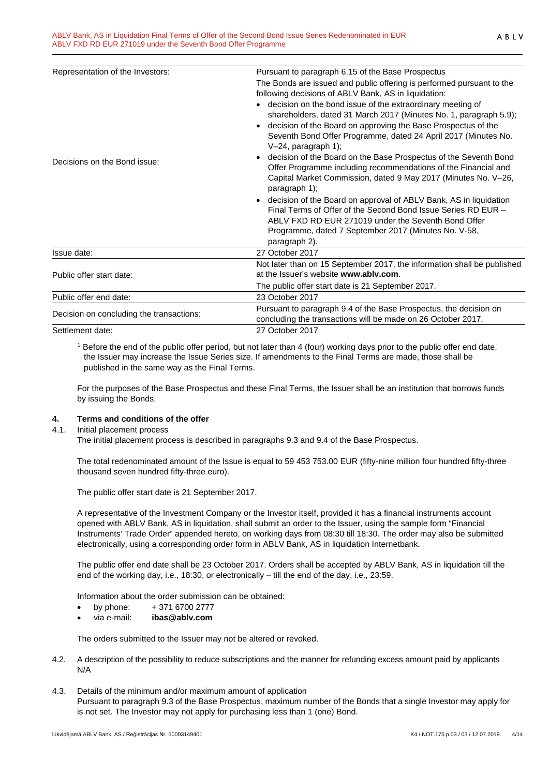| Representation of the Investors:         | Pursuant to paragraph 6.15 of the Base Prospectus                                                                                                                                                                                                                  |
|------------------------------------------|--------------------------------------------------------------------------------------------------------------------------------------------------------------------------------------------------------------------------------------------------------------------|
|                                          | The Bonds are issued and public offering is performed pursuant to the                                                                                                                                                                                              |
|                                          | following decisions of ABLV Bank, AS in liquidation:                                                                                                                                                                                                               |
|                                          | decision on the bond issue of the extraordinary meeting of<br>shareholders, dated 31 March 2017 (Minutes No. 1, paragraph 5.9);<br>decision of the Board on approving the Base Prospectus of the<br>$\bullet$                                                      |
|                                          | Seventh Bond Offer Programme, dated 24 April 2017 (Minutes No.<br>V-24, paragraph 1);                                                                                                                                                                              |
| Decisions on the Bond issue:             | decision of the Board on the Base Prospectus of the Seventh Bond<br>$\bullet$<br>Offer Programme including recommendations of the Financial and<br>Capital Market Commission, dated 9 May 2017 (Minutes No. V-26,<br>paragraph 1);                                 |
|                                          | decision of the Board on approval of ABLV Bank, AS in liquidation<br>Final Terms of Offer of the Second Bond Issue Series RD EUR -<br>ABLV FXD RD EUR 271019 under the Seventh Bond Offer<br>Programme, dated 7 September 2017 (Minutes No. V-58,<br>paragraph 2). |
| Issue date:                              | 27 October 2017                                                                                                                                                                                                                                                    |
| Public offer start date:                 | Not later than on 15 September 2017, the information shall be published<br>at the Issuer's website www.ablv.com.                                                                                                                                                   |
|                                          | The public offer start date is 21 September 2017.                                                                                                                                                                                                                  |
| Public offer end date:                   | 23 October 2017                                                                                                                                                                                                                                                    |
| Decision on concluding the transactions: | Pursuant to paragraph 9.4 of the Base Prospectus, the decision on<br>concluding the transactions will be made on 26 October 2017.                                                                                                                                  |
| Settlement date:                         | 27 October 2017                                                                                                                                                                                                                                                    |
|                                          |                                                                                                                                                                                                                                                                    |

<sup>1</sup> Before the end of the public offer period, but not later than 4 (four) working days prior to the public offer end date, the Issuer may increase the Issue Series size. If amendments to the Final Terms are made, those shall be published in the same way as the Final Terms.

For the purposes of the Base Prospectus and these Final Terms, the Issuer shall be an institution that borrows funds by issuing the Bonds.

# <span id="page-3-0"></span>**4. Terms and conditions of the offer**

4.1. Initial placement process

The initial placement process is described in paragraphs 9.3 and 9.4 of the Base Prospectus.

The total redenominated amount of the Issue is equal to 59 453 753.00 EUR (fifty-nine million four hundred fifty-three thousand seven hundred fifty-three euro).

The public offer start date is 21 September 2017.

A representative of the Investment Company or the Investor itself, provided it has a financial instruments account opened with ABLV Bank, AS in liquidation, shall submit an order to the Issuer, using the sample form "Financial Instruments' Trade Order" appended hereto, on working days from 08:30 till 18:30. The order may also be submitted electronically, using a corresponding order form in ABLV Bank, AS in liquidation Internetbank.

The public offer end date shall be 23 October 2017. Orders shall be accepted by ABLV Bank, AS in liquidation till the end of the working day, i.e., 18:30, or electronically – till the end of the day, i.e., 23:59.

Information about the order submission can be obtained:

- by phone:  $+371\,6700\,2777$
- via e-mail: **ibas@ablv.com**

The orders submitted to the Issuer may not be altered or revoked.

- 4.2. A description of the possibility to reduce subscriptions and the manner for refunding excess amount paid by applicants N/A
- 4.3. Details of the minimum and/or maximum amount of application Pursuant to paragraph 9.3 of the Base Prospectus, maximum number of the Bonds that a single Investor may apply for is not set. The Investor may not apply for purchasing less than 1 (one) Bond.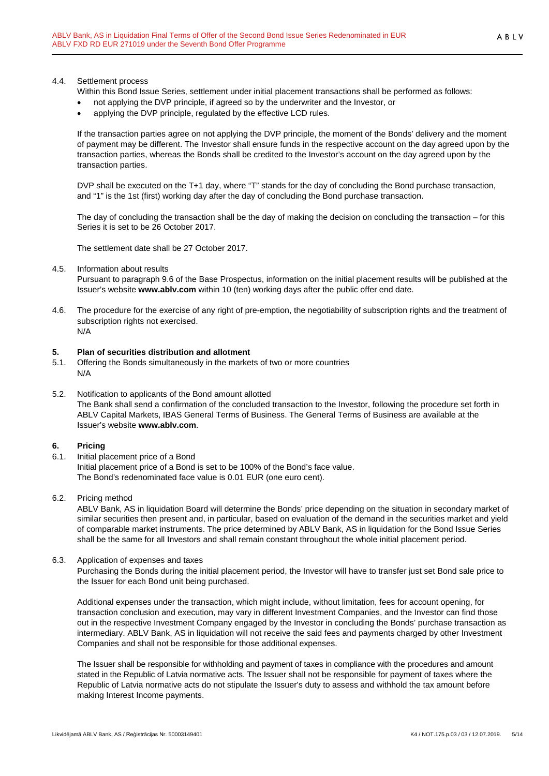### 4.4. Settlement process

- Within this Bond Issue Series, settlement under initial placement transactions shall be performed as follows:
- not applying the DVP principle, if agreed so by the underwriter and the Investor, or
- applying the DVP principle, regulated by the effective LCD rules.

If the transaction parties agree on not applying the DVP principle, the moment of the Bonds' delivery and the moment of payment may be different. The Investor shall ensure funds in the respective account on the day agreed upon by the transaction parties, whereas the Bonds shall be credited to the Investor's account on the day agreed upon by the transaction parties.

DVP shall be executed on the T+1 day, where "T" stands for the day of concluding the Bond purchase transaction, and "1" is the 1st (first) working day after the day of concluding the Bond purchase transaction.

The day of concluding the transaction shall be the day of making the decision on concluding the transaction – for this Series it is set to be 26 October 2017.

The settlement date shall be 27 October 2017.

### 4.5. Information about results

Pursuant to paragraph 9.6 of the Base Prospectus, information on the initial placement results will be published at the Issuer's website **www.ablv.com** within 10 (ten) working days after the public offer end date.

4.6. The procedure for the exercise of any right of pre-emption, the negotiability of subscription rights and the treatment of subscription rights not exercised.

N/A

# <span id="page-4-0"></span>**5. Plan of securities distribution and allotment**

- 5.1. Offering the Bonds simultaneously in the markets of two or more countries N/A
- 5.2. Notification to applicants of the Bond amount allotted The Bank shall send a confirmation of the concluded transaction to the Investor, following the procedure set forth in ABLV Capital Markets, IBAS General Terms of Business. The General Terms of Business are available at the Issuer's website **[www.ablv.com](http://www.ablv.com/)**.

### <span id="page-4-1"></span>**6. Pricing**

- 6.1. Initial placement price of a Bond Initial placement price of a Bond is set to be 100% of the Bond's face value. The Bond's redenominated face value is 0.01 EUR (one euro cent).
- 6.2. Pricing method

ABLV Bank, AS in liquidation Board will determine the Bonds' price depending on the situation in secondary market of similar securities then present and, in particular, based on evaluation of the demand in the securities market and yield of comparable market instruments. The price determined by ABLV Bank, AS in liquidation for the Bond Issue Series shall be the same for all Investors and shall remain constant throughout the whole initial placement period.

### 6.3. Application of expenses and taxes

Purchasing the Bonds during the initial placement period, the Investor will have to transfer just set Bond sale price to the Issuer for each Bond unit being purchased.

Additional expenses under the transaction, which might include, without limitation, fees for account opening, for transaction conclusion and execution, may vary in different Investment Companies, and the Investor can find those out in the respective Investment Company engaged by the Investor in concluding the Bonds' purchase transaction as intermediary. ABLV Bank, AS in liquidation will not receive the said fees and payments charged by other Investment Companies and shall not be responsible for those additional expenses.

The Issuer shall be responsible for withholding and payment of taxes in compliance with the procedures and amount stated in the Republic of Latvia normative acts. The Issuer shall not be responsible for payment of taxes where the Republic of Latvia normative acts do not stipulate the Issuer's duty to assess and withhold the tax amount before making Interest Income payments.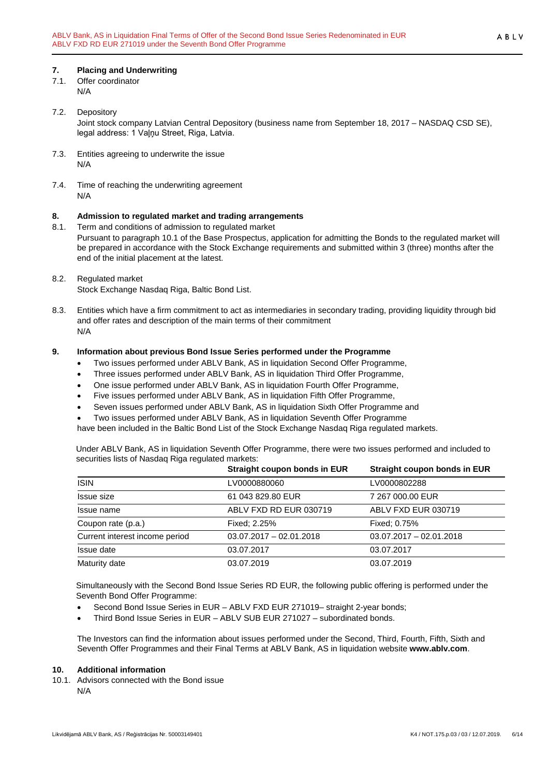## <span id="page-5-0"></span>**7. Placing and Underwriting**

- 7.1. Offer coordinator N/A
	-
- 7.2. Depository Joint stock company Latvian Central Depository (business name from September 18, 2017 – NASDAQ CSD SE), legal address: 1 Vaļņu Street, Riga, Latvia.
- 7.3. Entities agreeing to underwrite the issue N/A
- 7.4. Time of reaching the underwriting agreement N/A

## <span id="page-5-1"></span>**8. Admission to regulated market and trading arrangements**

- 8.1. Term and conditions of admission to regulated market Pursuant to paragraph 10.1 of the Base Prospectus, application for admitting the Bonds to the regulated market will be prepared in accordance with the Stock Exchange requirements and submitted within 3 (three) months after the end of the initial placement at the latest.
- 8.2. Regulated market

Stock Exchange Nasdaq Riga, Baltic Bond List.

8.3. Entities which have a firm commitment to act as intermediaries in secondary trading, providing liquidity through bid and offer rates and description of the main terms of their commitment N/A

### <span id="page-5-2"></span>**9. Information about previous Bond Issue Series performed under the Programme**

- Two issues performed under ABLV Bank, AS in liquidation Second Offer Programme,
- Three issues performed under ABLV Bank, AS in liquidation Third Offer Programme,
- One issue performed under ABLV Bank, AS in liquidation Fourth Offer Programme,
- Five issues performed under ABLV Bank, AS in liquidation Fifth Offer Programme,
- Seven issues performed under ABLV Bank, AS in liquidation Sixth Offer Programme and
- Two issues performed under ABLV Bank, AS in liquidation Seventh Offer Programme

have been included in the Baltic Bond List of the Stock Exchange Nasdaq Riga regulated markets.

Under ABLV Bank, AS in liquidation Seventh Offer Programme, there were two issues performed and included to securities lists of Nasdaq Riga regulated markets:

|                                | Straight coupon bonds in EUR | Straight coupon bonds in EUR |
|--------------------------------|------------------------------|------------------------------|
| <b>ISIN</b>                    | LV0000880060                 | LV0000802288                 |
| Issue size                     | 61 043 829.80 EUR            | 7 267 000.00 EUR             |
| Issue name                     | ABLV FXD RD EUR 030719       | ABLV FXD EUR 030719          |
| Coupon rate (p.a.)             | Fixed: 2.25%                 | Fixed: 0.75%                 |
| Current interest income period | $03.07.2017 - 02.01.2018$    | $03.07.2017 - 02.01.2018$    |
| Issue date                     | 03.07.2017                   | 03.07.2017                   |
| Maturity date                  | 03.07.2019                   | 03.07.2019                   |

Simultaneously with the Second Bond Issue Series RD EUR, the following public offering is performed under the Seventh Bond Offer Programme:

- Second Bond Issue Series in EUR ABLV FXD EUR 271019– straight 2-year bonds;
- Third Bond Issue Series in EUR ABLV SUB EUR 271027 subordinated bonds.

The Investors can find the information about issues performed under the Second, Third, Fourth, Fifth, Sixth and Seventh Offer Programmes and their Final Terms at ABLV Bank, AS in liquidation website **[www.ablv.com](http://www.ablv.com/)**.

### <span id="page-5-3"></span>**10. Additional information**

10.1. Advisors connected with the Bond issue N/A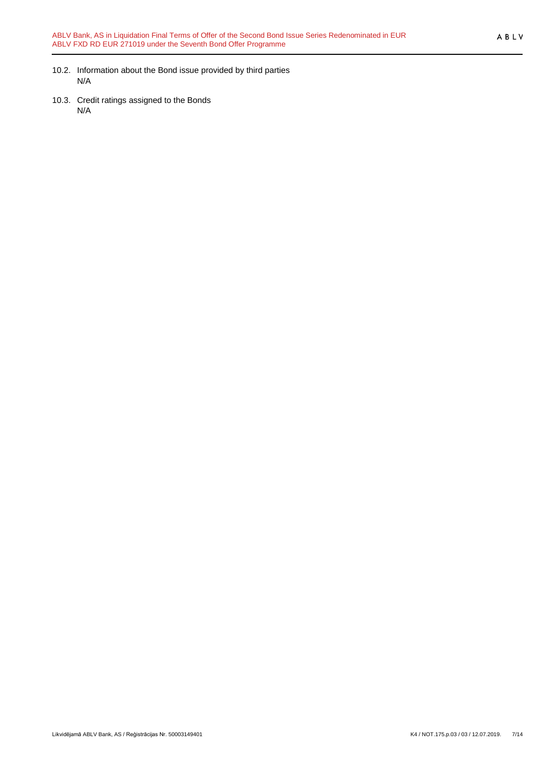- 10.2. Information about the Bond issue provided by third parties N/A
- 10.3. Credit ratings assigned to the Bonds N/A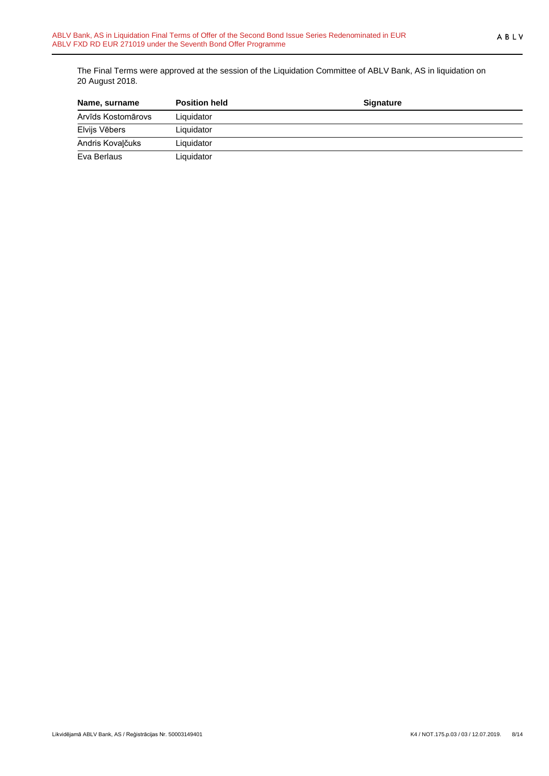The Final Terms were approved at the session of the Liquidation Committee of ABLV Bank, AS in liquidation on 20 August 2018.

| Name, surname      | <b>Position held</b> | <b>Signature</b> |  |
|--------------------|----------------------|------------------|--|
| Arvīds Kostomārovs | Liquidator           |                  |  |
| Elvijs Vēbers      | Liquidator           |                  |  |
| Andris Kovalčuks   | Liquidator           |                  |  |
| Eva Berlaus        | Liquidator           |                  |  |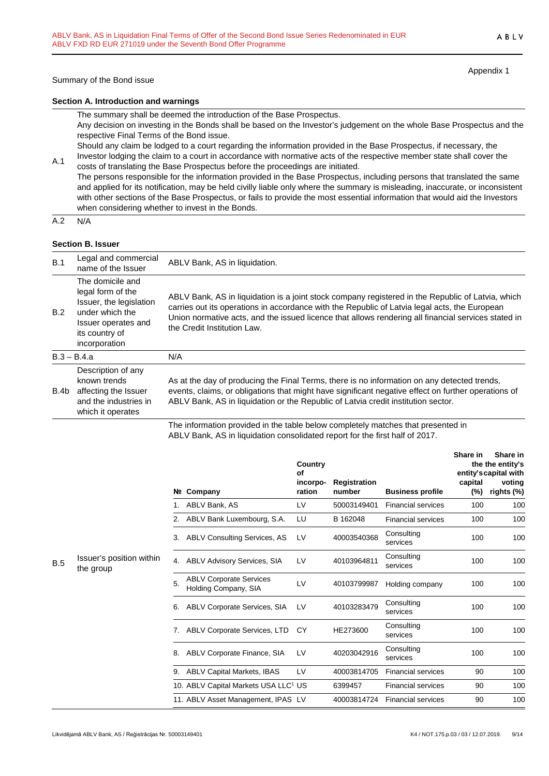Appendix 1

#### **Section A. Introduction and warnings**

The summary shall be deemed the introduction of the Base Prospectus.

Any decision on investing in the Bonds shall be based on the Investor's judgement on the whole Base Prospectus and the respective Final Terms of the Bond issue.

Should any claim be lodged to a court regarding the information provided in the Base Prospectus, if necessary, the Investor lodging the claim to a court in accordance with normative acts of the respective member state shall cover the

A.1 costs of translating the Base Prospectus before the proceedings are initiated. The persons responsible for the information provided in the Base Prospectus, including persons that translated the same and applied for its notification, may be held civilly liable only where the summary is misleading, inaccurate, or inconsistent with other sections of the Base Prospectus, or fails to provide the most essential information that would aid the Investors when considering whether to invest in the Bonds.

 $A.2 N/A$ 

### **Section B. Issuer**

| B.1  | Legal and commercial<br>name of the Issuer                                                                                                    | ABLV Bank, AS in liquidation.                                                                                                                                                                                                                                                                                                            |
|------|-----------------------------------------------------------------------------------------------------------------------------------------------|------------------------------------------------------------------------------------------------------------------------------------------------------------------------------------------------------------------------------------------------------------------------------------------------------------------------------------------|
| B.2  | The domicile and<br>legal form of the<br>Issuer, the legislation<br>under which the<br>Issuer operates and<br>its country of<br>incorporation | ABLV Bank, AS in liquidation is a joint stock company registered in the Republic of Latvia, which<br>carries out its operations in accordance with the Republic of Latvia legal acts, the European<br>Union normative acts, and the issued licence that allows rendering all financial services stated in<br>the Credit Institution Law. |
|      | $B.3 - B.4.a$                                                                                                                                 | N/A                                                                                                                                                                                                                                                                                                                                      |
| B.4b | Description of any<br>known trends<br>affecting the Issuer<br>and the industries in<br>which it operates                                      | As at the day of producing the Final Terms, there is no information on any detected trends,<br>events, claims, or obligations that might have significant negative effect on further operations of<br>ABLV Bank, AS in liquidation or the Republic of Latvia credit institution sector.                                                  |
|      |                                                                                                                                               | The information provided in the table below completely matches that presented in                                                                                                                                                                                                                                                         |

The information provided in the table below completely matches that presented in ABLV Bank, AS in liquidation consolidated report for the first half of 2017.

|            |                                       |    | Nº Company                                             | Country<br>Οf<br>incorpo-<br>ration | <b>Registration</b><br>number | <b>Business profile</b>   | Share in<br>capital<br>(%) | Share in<br>the the entity's<br>entity's capital with<br>voting<br>rights (%) |
|------------|---------------------------------------|----|--------------------------------------------------------|-------------------------------------|-------------------------------|---------------------------|----------------------------|-------------------------------------------------------------------------------|
|            |                                       |    | ABLV Bank, AS                                          | LV                                  | 50003149401                   | <b>Financial services</b> | 100                        | 100                                                                           |
|            |                                       | 2. | ABLV Bank Luxembourg, S.A.                             | LU                                  | B 162048                      | <b>Financial services</b> | 100                        | 100                                                                           |
|            |                                       | 3. | <b>ABLV Consulting Services, AS</b>                    | LV                                  | 40003540368                   | Consulting<br>services    | 100                        | 100                                                                           |
| <b>B.5</b> | Issuer's position within<br>the group | 4. | <b>ABLV Advisory Services, SIA</b>                     | LV                                  | 40103964811                   | Consulting<br>services    | 100                        | 100                                                                           |
|            |                                       | 5. | <b>ABLV Corporate Services</b><br>Holding Company, SIA | LV                                  | 40103799987                   | Holding company           | 100                        | 100                                                                           |
|            |                                       | 6. | ABLV Corporate Services, SIA                           | LV                                  | 40103283479                   | Consulting<br>services    | 100                        | 100                                                                           |
|            |                                       | 7. | ABLV Corporate Services, LTD                           | <b>CY</b>                           | HE273600                      | Consulting<br>services    | 100                        | 100                                                                           |
|            |                                       | 8. | ABLV Corporate Finance, SIA                            | LV                                  | 40203042916                   | Consulting<br>services    | 100                        | 100                                                                           |
|            |                                       | 9. | <b>ABLV Capital Markets, IBAS</b>                      | LV                                  | 40003814705                   | <b>Financial services</b> | 90                         | 100                                                                           |
|            |                                       |    | 10. ABLV Capital Markets USA LLC <sup>1</sup> US       |                                     | 6399457                       | <b>Financial services</b> | 90                         | 100                                                                           |
|            |                                       |    | 11. ABLV Asset Management, IPAS LV                     |                                     | 40003814724                   | <b>Financial services</b> | 90                         | 100                                                                           |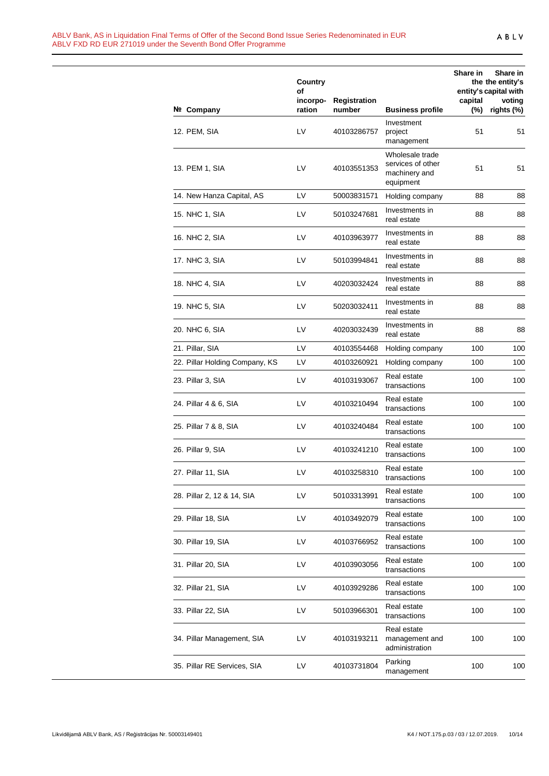|                                | Country<br>οf      |                               |                                                                    | Share in          | Share in<br>the the entity's<br>entity's capital with |
|--------------------------------|--------------------|-------------------------------|--------------------------------------------------------------------|-------------------|-------------------------------------------------------|
| Nº Company                     | incorpo-<br>ration | <b>Registration</b><br>number | <b>Business profile</b>                                            | capital<br>$(\%)$ | voting<br>rights (%)                                  |
| 12. PEM, SIA                   | LV                 | 40103286757                   | Investment<br>project<br>management                                | 51                | 51                                                    |
| 13. PEM 1, SIA                 | LV                 | 40103551353                   | Wholesale trade<br>services of other<br>machinery and<br>equipment | 51                | 51                                                    |
| 14. New Hanza Capital, AS      | LV                 | 50003831571                   | Holding company                                                    | 88                | 88                                                    |
| 15. NHC 1, SIA                 | LV                 | 50103247681                   | Investments in<br>real estate                                      | 88                | 88                                                    |
| 16. NHC 2, SIA                 | LV                 | 40103963977                   | Investments in<br>real estate                                      | 88                | 88                                                    |
| 17. NHC 3, SIA                 | LV                 | 50103994841                   | Investments in<br>real estate                                      | 88                | 88                                                    |
| 18. NHC 4, SIA                 | LV                 | 40203032424                   | Investments in<br>real estate                                      | 88                | 88                                                    |
| 19. NHC 5, SIA                 | LV                 | 50203032411                   | Investments in<br>real estate                                      | 88                | 88                                                    |
| 20. NHC 6, SIA                 | LV                 | 40203032439                   | Investments in<br>real estate                                      | 88                | 88                                                    |
| 21. Pillar, SIA                | LV                 | 40103554468                   | Holding company                                                    | 100               | 100                                                   |
| 22. Pillar Holding Company, KS | LV                 | 40103260921                   | Holding company                                                    | 100               | 100                                                   |
| 23. Pillar 3, SIA              | LV                 | 40103193067                   | Real estate<br>transactions                                        | 100               | 100                                                   |
| 24. Pillar 4 & 6, SIA          | LV                 | 40103210494                   | Real estate<br>transactions                                        | 100               | 100                                                   |
| 25. Pillar 7 & 8, SIA          | LV                 | 40103240484                   | Real estate<br>transactions                                        | 100               | 100                                                   |
| 26. Pillar 9, SIA              | LV                 | 40103241210                   | Real estate<br>transactions                                        | 100               | 100                                                   |
| 27. Pillar 11, SIA             | LV                 | 40103258310                   | Real estate<br>transactions                                        | 100               | 100                                                   |
| 28. Pillar 2, 12 & 14, SIA     | LV                 | 50103313991                   | Real estate<br>transactions                                        | 100               | 100                                                   |
| 29. Pillar 18, SIA             | LV                 | 40103492079                   | Real estate<br>transactions                                        | 100               | 100                                                   |
| 30. Pillar 19, SIA             | LV                 | 40103766952                   | Real estate<br>transactions                                        | 100               | 100                                                   |
| 31. Pillar 20, SIA             | LV                 | 40103903056                   | Real estate<br>transactions                                        | 100               | 100                                                   |
| 32. Pillar 21, SIA             | LV                 | 40103929286                   | Real estate<br>transactions                                        | 100               | 100                                                   |
| 33. Pillar 22, SIA             | LV                 | 50103966301                   | Real estate<br>transactions                                        | 100               | 100                                                   |
| 34. Pillar Management, SIA     | LV                 | 40103193211                   | Real estate<br>management and<br>administration                    | 100               | 100                                                   |
| 35. Pillar RE Services, SIA    | LV                 | 40103731804                   | Parking<br>management                                              | 100               | 100                                                   |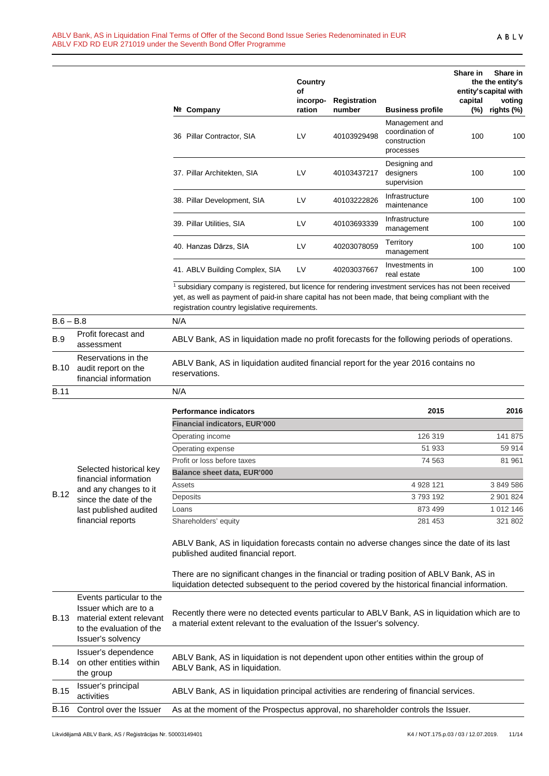|             |                                                                     | Nº Company                                                                                                                                                                                                                                                                | Country<br>οf<br>incorpo-<br>ration | Registration<br>number | <b>Business profile</b>                                        | Share in<br>capital<br>$(\%)$ | Share in<br>the the entity's<br>entity's capital with<br>voting<br>rights (%) |
|-------------|---------------------------------------------------------------------|---------------------------------------------------------------------------------------------------------------------------------------------------------------------------------------------------------------------------------------------------------------------------|-------------------------------------|------------------------|----------------------------------------------------------------|-------------------------------|-------------------------------------------------------------------------------|
|             |                                                                     | 36 Pillar Contractor, SIA                                                                                                                                                                                                                                                 | LV                                  | 40103929498            | Management and<br>coordination of<br>construction<br>processes | 100                           | 100                                                                           |
|             |                                                                     | 37. Pillar Architekten, SIA                                                                                                                                                                                                                                               | LV                                  | 40103437217            | Designing and<br>designers<br>supervision                      | 100                           | 100                                                                           |
|             |                                                                     | 38. Pillar Development, SIA                                                                                                                                                                                                                                               | LV                                  | 40103222826            | Infrastructure<br>maintenance                                  | 100                           | 100                                                                           |
|             |                                                                     | 39. Pillar Utilities, SIA                                                                                                                                                                                                                                                 | LV                                  | 40103693339            | Infrastructure<br>management                                   | 100                           | 100                                                                           |
|             |                                                                     | 40. Hanzas Dārzs, SIA                                                                                                                                                                                                                                                     | LV                                  | 40203078059            | Territory<br>management                                        | 100                           | 100                                                                           |
|             |                                                                     | 41. ABLV Building Complex, SIA                                                                                                                                                                                                                                            | LV                                  | 40203037667            | Investments in<br>real estate                                  | 100                           | 100                                                                           |
|             |                                                                     | <sup>1</sup> subsidiary company is registered, but licence for rendering investment services has not been received<br>yet, as well as payment of paid-in share capital has not been made, that being compliant with the<br>registration country legislative requirements. |                                     |                        |                                                                |                               |                                                                               |
| $B.6 - B.8$ |                                                                     | N/A                                                                                                                                                                                                                                                                       |                                     |                        |                                                                |                               |                                                                               |
| <b>B.9</b>  | Profit forecast and<br>assessment                                   | ABLV Bank, AS in liquidation made no profit forecasts for the following periods of operations.                                                                                                                                                                            |                                     |                        |                                                                |                               |                                                                               |
| <b>B.10</b> | Reservations in the<br>audit report on the<br>financial information | ABLV Bank, AS in liquidation audited financial report for the year 2016 contains no<br>reservations.                                                                                                                                                                      |                                     |                        |                                                                |                               |                                                                               |
| <b>B.11</b> |                                                                     | N/A                                                                                                                                                                                                                                                                       |                                     |                        |                                                                |                               |                                                                               |
|             |                                                                     | <b>Performance indicators</b>                                                                                                                                                                                                                                             |                                     |                        | 2015                                                           |                               | 2016                                                                          |
|             |                                                                     | <b>Financial indicators, EUR'000</b>                                                                                                                                                                                                                                      |                                     |                        |                                                                |                               |                                                                               |
|             |                                                                     | Operating income                                                                                                                                                                                                                                                          |                                     |                        | 126 319                                                        |                               | 141 875                                                                       |
|             |                                                                     | Operating expense                                                                                                                                                                                                                                                         |                                     |                        | 51 933                                                         |                               | 59 914                                                                        |
|             |                                                                     | Profit or loss before taxes                                                                                                                                                                                                                                               |                                     |                        | 74 563                                                         |                               | 81 961                                                                        |
|             | Selected historical kev                                             |                                                                                                                                                                                                                                                                           |                                     |                        |                                                                |                               |                                                                               |

|                                                                           | <b>Performance indicators</b>        | 2015      | 2016      |
|---------------------------------------------------------------------------|--------------------------------------|-----------|-----------|
|                                                                           | <b>Financial indicators, EUR'000</b> |           |           |
|                                                                           | Operating income                     | 126 319   | 141 875   |
|                                                                           | Operating expense                    | 51 933    | 59 914    |
| Selected historical key<br>financial information<br>and any abongso to it | Profit or loss before taxes          | 74 563    | 81 961    |
|                                                                           | <b>Balance sheet data, EUR'000</b>   |           |           |
|                                                                           | Assets                               | 4 928 121 | 3 849 586 |

B.12 and any changes to it since the date of the last published audited financial reports Deposits 3 793 192 2 901 824 Loans 873 499 1 012 146 Shareholders' equity 281 453 321 802

ABLV Bank, AS in liquidation forecasts contain no adverse changes since the date of its last published audited financial report.

There are no significant changes in the financial or trading position of ABLV Bank, AS in liquidation detected subsequent to the period covered by the historical financial information.

| <b>B.13</b> | Events particular to the<br>Issuer which are to a<br>material extent relevant<br>to the evaluation of the<br>Issuer's solvency | Recently there were no detected events particular to ABLV Bank, AS in liquidation which are to<br>a material extent relevant to the evaluation of the Issuer's solvency. |
|-------------|--------------------------------------------------------------------------------------------------------------------------------|--------------------------------------------------------------------------------------------------------------------------------------------------------------------------|
| <b>B.14</b> | Issuer's dependence<br>on other entities within<br>the group                                                                   | ABLV Bank, AS in liquidation is not dependent upon other entities within the group of<br>ABLV Bank, AS in liquidation.                                                   |
| <b>B.15</b> | Issuer's principal<br>activities                                                                                               | ABLV Bank, AS in liquidation principal activities are rendering of financial services.                                                                                   |
| <b>B.16</b> | Control over the Issuer                                                                                                        | As at the moment of the Prospectus approval, no shareholder controls the Issuer.                                                                                         |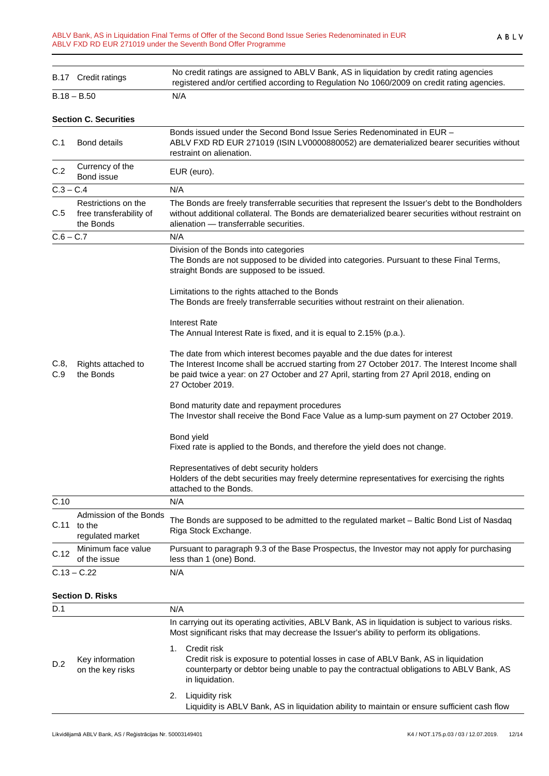|                                                        | B.17 Credit ratings                                                                                                                                                                                                                                                                                              | No credit ratings are assigned to ABLV Bank, AS in liquidation by credit rating agencies<br>registered and/or certified according to Regulation No 1060/2009 on credit rating agencies.                                                                                                      |
|--------------------------------------------------------|------------------------------------------------------------------------------------------------------------------------------------------------------------------------------------------------------------------------------------------------------------------------------------------------------------------|----------------------------------------------------------------------------------------------------------------------------------------------------------------------------------------------------------------------------------------------------------------------------------------------|
|                                                        | B.18 – B.50                                                                                                                                                                                                                                                                                                      | N/A                                                                                                                                                                                                                                                                                          |
|                                                        | <b>Section C. Securities</b>                                                                                                                                                                                                                                                                                     |                                                                                                                                                                                                                                                                                              |
| C.1<br><b>Bond details</b><br>restraint on alienation. |                                                                                                                                                                                                                                                                                                                  | Bonds issued under the Second Bond Issue Series Redenominated in EUR -<br>ABLV FXD RD EUR 271019 (ISIN LV0000880052) are dematerialized bearer securities without                                                                                                                            |
| C.2                                                    | Currency of the<br>Bond issue                                                                                                                                                                                                                                                                                    | EUR (euro).                                                                                                                                                                                                                                                                                  |
| $C.3 - C.4$                                            |                                                                                                                                                                                                                                                                                                                  | N/A                                                                                                                                                                                                                                                                                          |
| C.5                                                    | Restrictions on the<br>The Bonds are freely transferrable securities that represent the Issuer's debt to the Bondholders<br>free transferability of<br>without additional collateral. The Bonds are dematerialized bearer securities without restraint on<br>the Bonds<br>alienation - transferrable securities. |                                                                                                                                                                                                                                                                                              |
| C.6 – C.7                                              |                                                                                                                                                                                                                                                                                                                  | N/A                                                                                                                                                                                                                                                                                          |
|                                                        |                                                                                                                                                                                                                                                                                                                  | Division of the Bonds into categories<br>The Bonds are not supposed to be divided into categories. Pursuant to these Final Terms,<br>straight Bonds are supposed to be issued.                                                                                                               |
|                                                        |                                                                                                                                                                                                                                                                                                                  | Limitations to the rights attached to the Bonds<br>The Bonds are freely transferrable securities without restraint on their alienation.                                                                                                                                                      |
|                                                        |                                                                                                                                                                                                                                                                                                                  | <b>Interest Rate</b><br>The Annual Interest Rate is fixed, and it is equal to 2.15% (p.a.).                                                                                                                                                                                                  |
| C.8,<br>C.9                                            | Rights attached to<br>the Bonds                                                                                                                                                                                                                                                                                  | The date from which interest becomes payable and the due dates for interest<br>The Interest Income shall be accrued starting from 27 October 2017. The Interest Income shall<br>be paid twice a year: on 27 October and 27 April, starting from 27 April 2018, ending on<br>27 October 2019. |
|                                                        |                                                                                                                                                                                                                                                                                                                  | Bond maturity date and repayment procedures<br>The Investor shall receive the Bond Face Value as a lump-sum payment on 27 October 2019.                                                                                                                                                      |
|                                                        |                                                                                                                                                                                                                                                                                                                  | Bond yield<br>Fixed rate is applied to the Bonds, and therefore the yield does not change.                                                                                                                                                                                                   |
|                                                        |                                                                                                                                                                                                                                                                                                                  | Representatives of debt security holders<br>Holders of the debt securities may freely determine representatives for exercising the rights<br>attached to the Bonds.                                                                                                                          |
| C.10                                                   |                                                                                                                                                                                                                                                                                                                  | N/A                                                                                                                                                                                                                                                                                          |
| C.11                                                   | Admission of the Bonds<br>to the<br>regulated market                                                                                                                                                                                                                                                             | The Bonds are supposed to be admitted to the regulated market - Baltic Bond List of Nasdaq<br>Riga Stock Exchange.                                                                                                                                                                           |
| C.12                                                   | Minimum face value<br>of the issue                                                                                                                                                                                                                                                                               | Pursuant to paragraph 9.3 of the Base Prospectus, the Investor may not apply for purchasing<br>less than 1 (one) Bond.                                                                                                                                                                       |
|                                                        | $C.13 - C.22$                                                                                                                                                                                                                                                                                                    | N/A                                                                                                                                                                                                                                                                                          |
|                                                        |                                                                                                                                                                                                                                                                                                                  |                                                                                                                                                                                                                                                                                              |

## **Section D. Risks**

| D.1 |                                     |  | N/A                                                                                                                                                                                                              |  |  |
|-----|-------------------------------------|--|------------------------------------------------------------------------------------------------------------------------------------------------------------------------------------------------------------------|--|--|
|     | Key information<br>on the key risks |  | In carrying out its operating activities, ABLV Bank, AS in liquidation is subject to various risks.<br>Most significant risks that may decrease the Issuer's ability to perform its obligations.                 |  |  |
| D.2 |                                     |  | Credit risk<br>Credit risk is exposure to potential losses in case of ABLV Bank, AS in liquidation<br>counterparty or debtor being unable to pay the contractual obligations to ABLV Bank, AS<br>in liquidation. |  |  |
|     |                                     |  | Liquidity risk<br>Liquidity is ABLV Bank, AS in liquidation ability to maintain or ensure sufficient cash flow                                                                                                   |  |  |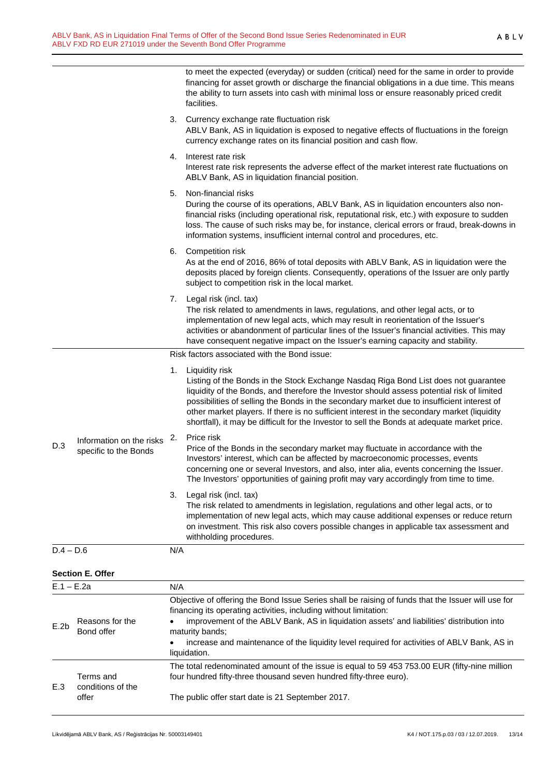| to meet the expected (everyday) or sudden (critical) need for the same in order to provide  |
|---------------------------------------------------------------------------------------------|
| financing for asset growth or discharge the financial obligations in a due time. This means |
| the ability to turn assets into cash with minimal loss or ensure reasonably priced credit   |
| facilities.                                                                                 |

| 3. Currency exchange rate fluctuation risk                                                 |  |  |
|--------------------------------------------------------------------------------------------|--|--|
| ABLV Bank, AS in liquidation is exposed to negative effects of fluctuations in the foreign |  |  |
| currency exchange rates on its financial position and cash flow.                           |  |  |

- 4. Interest rate risk Interest rate risk represents the adverse effect of the market interest rate fluctuations on ABLV Bank, AS in liquidation financial position.
- 5. Non-financial risks

During the course of its operations, ABLV Bank, AS in liquidation encounters also nonfinancial risks (including operational risk, reputational risk, etc.) with exposure to sudden loss. The cause of such risks may be, for instance, clerical errors or fraud, break-downs in information systems, insufficient internal control and procedures, etc.

6. Competition risk

As at the end of 2016, 86% of total deposits with ABLV Bank, AS in liquidation were the deposits placed by foreign clients. Consequently, operations of the Issuer are only partly subject to competition risk in the local market.

7. Legal risk (incl. tax)

The risk related to amendments in laws, regulations, and other legal acts, or to implementation of new legal acts, which may result in reorientation of the Issuer's activities or abandonment of particular lines of the Issuer's financial activities. This may have consequent negative impact on the Issuer's earning capacity and stability.

Risk factors associated with the Bond issue:

|             |                                                   |     | TWON TUCKCHO USSOCIUTCU WITH THE DUITU ISSUE.                                                                                                                                                                                                                                                                                                                                                                                                                                                    |
|-------------|---------------------------------------------------|-----|--------------------------------------------------------------------------------------------------------------------------------------------------------------------------------------------------------------------------------------------------------------------------------------------------------------------------------------------------------------------------------------------------------------------------------------------------------------------------------------------------|
|             |                                                   | 1.  | Liquidity risk<br>Listing of the Bonds in the Stock Exchange Nasdaq Riga Bond List does not guarantee<br>liquidity of the Bonds, and therefore the Investor should assess potential risk of limited<br>possibilities of selling the Bonds in the secondary market due to insufficient interest of<br>other market players. If there is no sufficient interest in the secondary market (liquidity<br>shortfall), it may be difficult for the Investor to sell the Bonds at adequate market price. |
| D.3         | Information on the risks<br>specific to the Bonds | 2.  | Price risk<br>Price of the Bonds in the secondary market may fluctuate in accordance with the<br>Investors' interest, which can be affected by macroeconomic processes, events<br>concerning one or several Investors, and also, inter alia, events concerning the Issuer.<br>The Investors' opportunities of gaining profit may vary accordingly from time to time.                                                                                                                             |
|             |                                                   | 3.  | Legal risk (incl. tax)<br>The risk related to amendments in legislation, regulations and other legal acts, or to<br>implementation of new legal acts, which may cause additional expenses or reduce return<br>on investment. This risk also covers possible changes in applicable tax assessment and<br>withholding procedures.                                                                                                                                                                  |
| $D.4 - D.6$ |                                                   | N/A |                                                                                                                                                                                                                                                                                                                                                                                                                                                                                                  |

**Section E. Offer**

| $E.1 - E.2a$     |                                         | N/A                                                                                                                                                                                                                                                                                                                                                                                                     |
|------------------|-----------------------------------------|---------------------------------------------------------------------------------------------------------------------------------------------------------------------------------------------------------------------------------------------------------------------------------------------------------------------------------------------------------------------------------------------------------|
| E.2 <sub>b</sub> | Reasons for the<br>Bond offer           | Objective of offering the Bond Issue Series shall be raising of funds that the Issuer will use for<br>financing its operating activities, including without limitation:<br>improvement of the ABLV Bank, AS in liquidation assets' and liabilities' distribution into<br>maturity bands:<br>increase and maintenance of the liquidity level required for activities of ABLV Bank, AS in<br>liquidation. |
| E.3              | Terms and<br>conditions of the<br>offer | The total redenominated amount of the issue is equal to 59 453 753.00 EUR (fifty-nine million<br>four hundred fifty-three thousand seven hundred fifty-three euro).<br>The public offer start date is 21 September 2017.                                                                                                                                                                                |